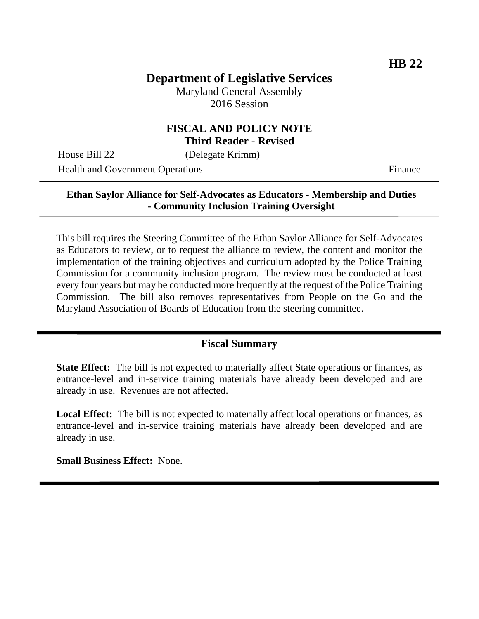# **Department of Legislative Services**

Maryland General Assembly 2016 Session

### **FISCAL AND POLICY NOTE Third Reader - Revised**

House Bill 22 (Delegate Krimm)

Health and Government Operations Finance

### **Ethan Saylor Alliance for Self-Advocates as Educators - Membership and Duties - Community Inclusion Training Oversight**

This bill requires the Steering Committee of the Ethan Saylor Alliance for Self-Advocates as Educators to review, or to request the alliance to review, the content and monitor the implementation of the training objectives and curriculum adopted by the Police Training Commission for a community inclusion program. The review must be conducted at least every four years but may be conducted more frequently at the request of the Police Training Commission. The bill also removes representatives from People on the Go and the Maryland Association of Boards of Education from the steering committee.

### **Fiscal Summary**

**State Effect:** The bill is not expected to materially affect State operations or finances, as entrance-level and in-service training materials have already been developed and are already in use. Revenues are not affected.

**Local Effect:** The bill is not expected to materially affect local operations or finances, as entrance-level and in-service training materials have already been developed and are already in use.

**Small Business Effect:** None.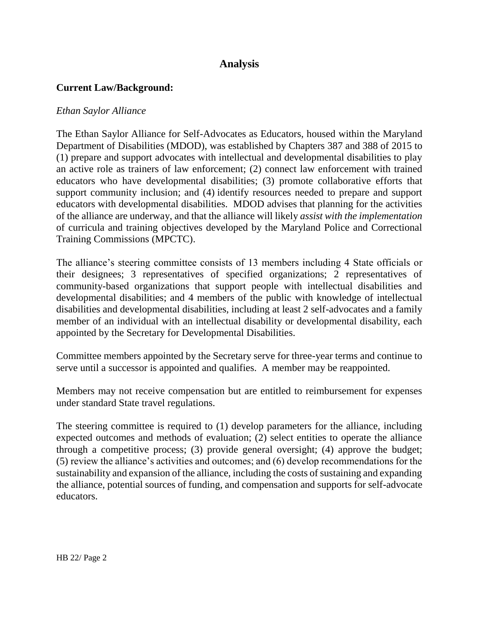## **Analysis**

### **Current Law/Background:**

#### *Ethan Saylor Alliance*

The Ethan Saylor Alliance for Self-Advocates as Educators, housed within the Maryland Department of Disabilities (MDOD), was established by Chapters 387 and 388 of 2015 to (1) prepare and support advocates with intellectual and developmental disabilities to play an active role as trainers of law enforcement; (2) connect law enforcement with trained educators who have developmental disabilities; (3) promote collaborative efforts that support community inclusion; and (4) identify resources needed to prepare and support educators with developmental disabilities. MDOD advises that planning for the activities of the alliance are underway, and that the alliance will likely *assist with the implementation*  of curricula and training objectives developed by the Maryland Police and Correctional Training Commissions (MPCTC).

The alliance's steering committee consists of 13 members including 4 State officials or their designees; 3 representatives of specified organizations; 2 representatives of community-based organizations that support people with intellectual disabilities and developmental disabilities; and 4 members of the public with knowledge of intellectual disabilities and developmental disabilities, including at least 2 self-advocates and a family member of an individual with an intellectual disability or developmental disability, each appointed by the Secretary for Developmental Disabilities.

Committee members appointed by the Secretary serve for three-year terms and continue to serve until a successor is appointed and qualifies. A member may be reappointed.

Members may not receive compensation but are entitled to reimbursement for expenses under standard State travel regulations.

The steering committee is required to (1) develop parameters for the alliance, including expected outcomes and methods of evaluation; (2) select entities to operate the alliance through a competitive process; (3) provide general oversight; (4) approve the budget; (5) review the alliance's activities and outcomes; and (6) develop recommendations for the sustainability and expansion of the alliance, including the costs of sustaining and expanding the alliance, potential sources of funding, and compensation and supports for self-advocate educators.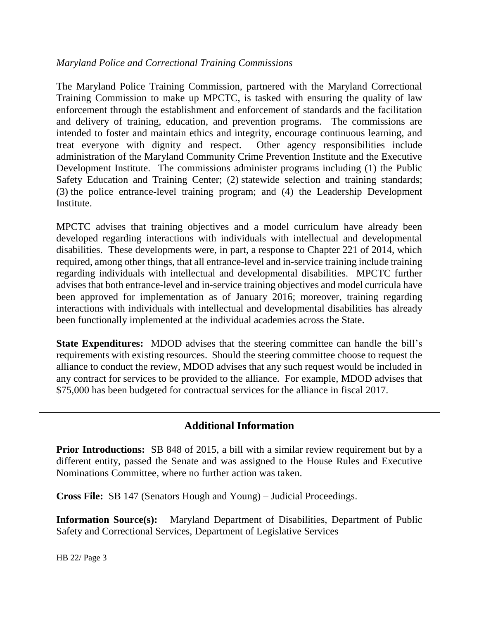### *Maryland Police and Correctional Training Commissions*

The Maryland Police Training Commission, partnered with the Maryland Correctional Training Commission to make up MPCTC, is tasked with ensuring the quality of law enforcement through the establishment and enforcement of standards and the facilitation and delivery of training, education, and prevention programs. The commissions are intended to foster and maintain ethics and integrity, encourage continuous learning, and treat everyone with dignity and respect. Other agency responsibilities include administration of the Maryland Community Crime Prevention Institute and the Executive Development Institute. The commissions administer programs including (1) the Public Safety Education and Training Center; (2) statewide selection and training standards; (3) the police entrance-level training program; and (4) the Leadership Development Institute.

MPCTC advises that training objectives and a model curriculum have already been developed regarding interactions with individuals with intellectual and developmental disabilities. These developments were, in part, a response to Chapter 221 of 2014, which required, among other things, that all entrance-level and in-service training include training regarding individuals with intellectual and developmental disabilities. MPCTC further advises that both entrance-level and in-service training objectives and model curricula have been approved for implementation as of January 2016; moreover, training regarding interactions with individuals with intellectual and developmental disabilities has already been functionally implemented at the individual academies across the State.

**State Expenditures:** MDOD advises that the steering committee can handle the bill's requirements with existing resources. Should the steering committee choose to request the alliance to conduct the review, MDOD advises that any such request would be included in any contract for services to be provided to the alliance. For example, MDOD advises that \$75,000 has been budgeted for contractual services for the alliance in fiscal 2017.

### **Additional Information**

**Prior Introductions:** SB 848 of 2015, a bill with a similar review requirement but by a different entity, passed the Senate and was assigned to the House Rules and Executive Nominations Committee, where no further action was taken.

**Cross File:** SB 147 (Senators Hough and Young) – Judicial Proceedings.

**Information Source(s):** Maryland Department of Disabilities, Department of Public Safety and Correctional Services, Department of Legislative Services